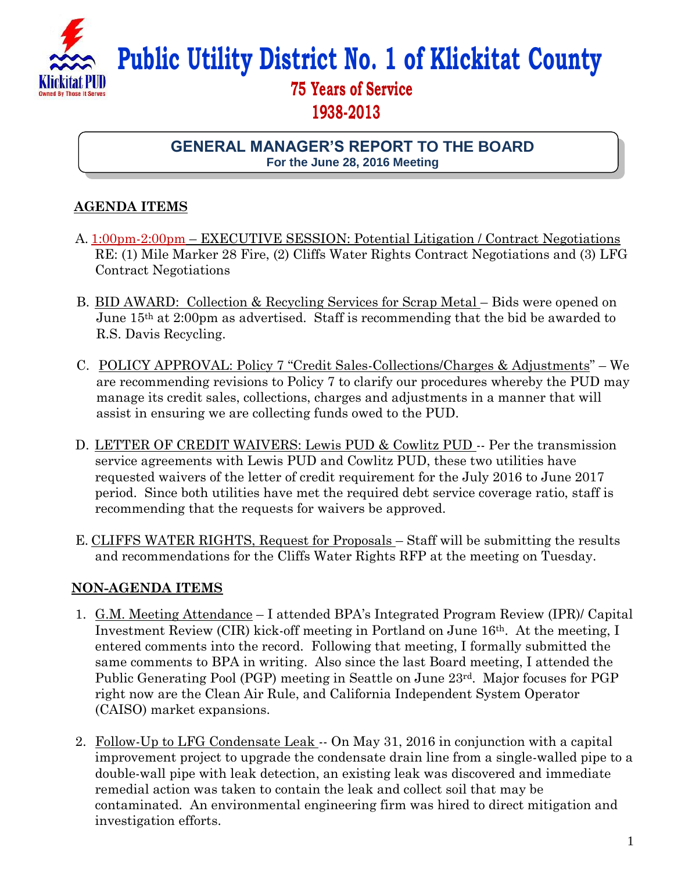

**Public Utility District No. 1 of Klickitat County 75 Years of Service**

## **1938-2013**

## **GENERAL MANAGER'S REPORT TO THE BOARD For the June 28, 2016 Meeting**

## **AGENDA ITEMS**

- A. 1:00pm-2:00pm EXECUTIVE SESSION: Potential Litigation / Contract Negotiations RE: (1) Mile Marker 28 Fire, (2) Cliffs Water Rights Contract Negotiations and (3) LFG Contract Negotiations
- B. BID AWARD: Collection & Recycling Services for Scrap Metal Bids were opened on June 15th at 2:00pm as advertised. Staff is recommending that the bid be awarded to R.S. Davis Recycling.
- C. POLICY APPROVAL: Policy 7 "Credit Sales-Collections/Charges & Adjustments" We are recommending revisions to Policy 7 to clarify our procedures whereby the PUD may manage its credit sales, collections, charges and adjustments in a manner that will assist in ensuring we are collecting funds owed to the PUD.
- D. LETTER OF CREDIT WAIVERS: Lewis PUD & Cowlitz PUD -- Per the transmission service agreements with Lewis PUD and Cowlitz PUD, these two utilities have requested waivers of the letter of credit requirement for the July 2016 to June 2017 period. Since both utilities have met the required debt service coverage ratio, staff is recommending that the requests for waivers be approved.
- E. CLIFFS WATER RIGHTS, Request for Proposals Staff will be submitting the results and recommendations for the Cliffs Water Rights RFP at the meeting on Tuesday.

## **NON-AGENDA ITEMS**

- 1. G.M. Meeting Attendance I attended BPA's Integrated Program Review (IPR)/ Capital Investment Review (CIR) kick-off meeting in Portland on June 16th. At the meeting, I entered comments into the record. Following that meeting, I formally submitted the same comments to BPA in writing. Also since the last Board meeting, I attended the Public Generating Pool (PGP) meeting in Seattle on June 23rd. Major focuses for PGP right now are the Clean Air Rule, and California Independent System Operator (CAISO) market expansions.
- 2. Follow-Up to LFG Condensate Leak -- On May 31, 2016 in conjunction with a capital improvement project to upgrade the condensate drain line from a single-walled pipe to a double-wall pipe with leak detection, an existing leak was discovered and immediate remedial action was taken to contain the leak and collect soil that may be contaminated. An environmental engineering firm was hired to direct mitigation and investigation efforts.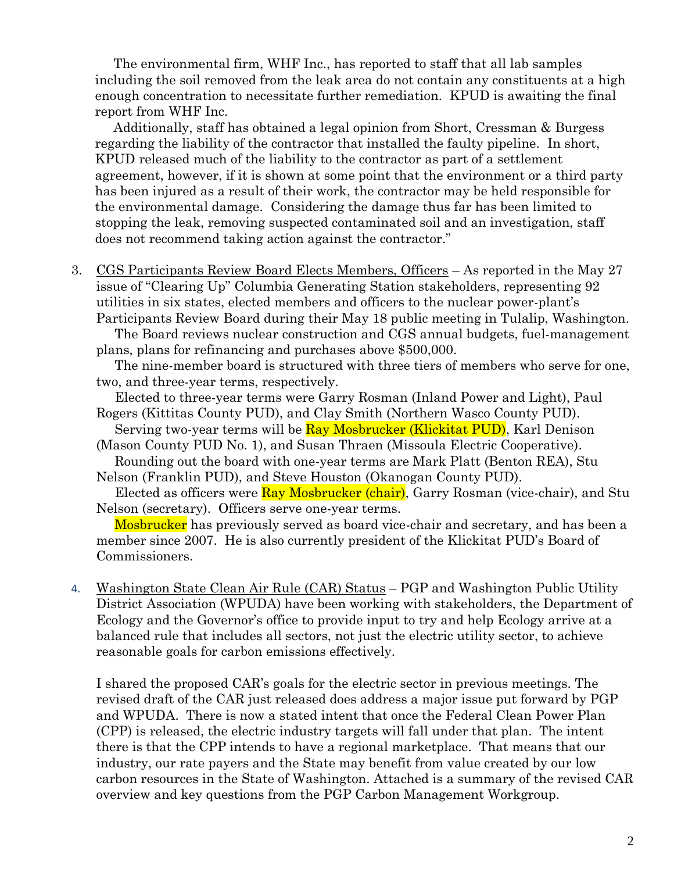The environmental firm, WHF Inc., has reported to staff that all lab samples including the soil removed from the leak area do not contain any constituents at a high enough concentration to necessitate further remediation. KPUD is awaiting the final report from WHF Inc.

 Additionally, staff has obtained a legal opinion from Short, Cressman & Burgess regarding the liability of the contractor that installed the faulty pipeline. In short, KPUD released much of the liability to the contractor as part of a settlement agreement, however, if it is shown at some point that the environment or a third party has been injured as a result of their work, the contractor may be held responsible for the environmental damage. Considering the damage thus far has been limited to stopping the leak, removing suspected contaminated soil and an investigation, staff does not recommend taking action against the contractor."

3. CGS Participants Review Board Elects Members, Officers – As reported in the May 27 issue of "Clearing Up" Columbia Generating Station stakeholders, representing 92 utilities in six states, elected members and officers to the nuclear power-plant's Participants Review Board during their May 18 public meeting in Tulalip, Washington.

 The Board reviews nuclear construction and CGS annual budgets, fuel-management plans, plans for refinancing and purchases above \$500,000.

 The nine-member board is structured with three tiers of members who serve for one, two, and three-year terms, respectively.

 Elected to three-year terms were Garry Rosman (Inland Power and Light), Paul Rogers (Kittitas County PUD), and Clay Smith (Northern Wasco County PUD).

Serving two-year terms will be **Ray Mosbrucker (Klickitat PUD)**, Karl Denison

(Mason County PUD No. 1), and Susan Thraen (Missoula Electric Cooperative). Rounding out the board with one-year terms are Mark Platt (Benton REA), Stu

Nelson (Franklin PUD), and Steve Houston (Okanogan County PUD).

Elected as officers were **Ray Mosbrucker (chair)**, Garry Rosman (vice-chair), and Stu Nelson (secretary). Officers serve one-year terms.

 Mosbrucker has previously served as board vice-chair and secretary, and has been a member since 2007. He is also currently president of the Klickitat PUD's Board of Commissioners.

4. Washington State Clean Air Rule (CAR) Status – PGP and Washington Public Utility District Association (WPUDA) have been working with stakeholders, the Department of Ecology and the Governor's office to provide input to try and help Ecology arrive at a balanced rule that includes all sectors, not just the electric utility sector, to achieve reasonable goals for carbon emissions effectively.

I shared the proposed CAR's goals for the electric sector in previous meetings. The revised draft of the CAR just released does address a major issue put forward by PGP and WPUDA. There is now a stated intent that once the Federal Clean Power Plan (CPP) is released, the electric industry targets will fall under that plan. The intent there is that the CPP intends to have a regional marketplace. That means that our industry, our rate payers and the State may benefit from value created by our low carbon resources in the State of Washington. Attached is a summary of the revised CAR overview and key questions from the PGP Carbon Management Workgroup.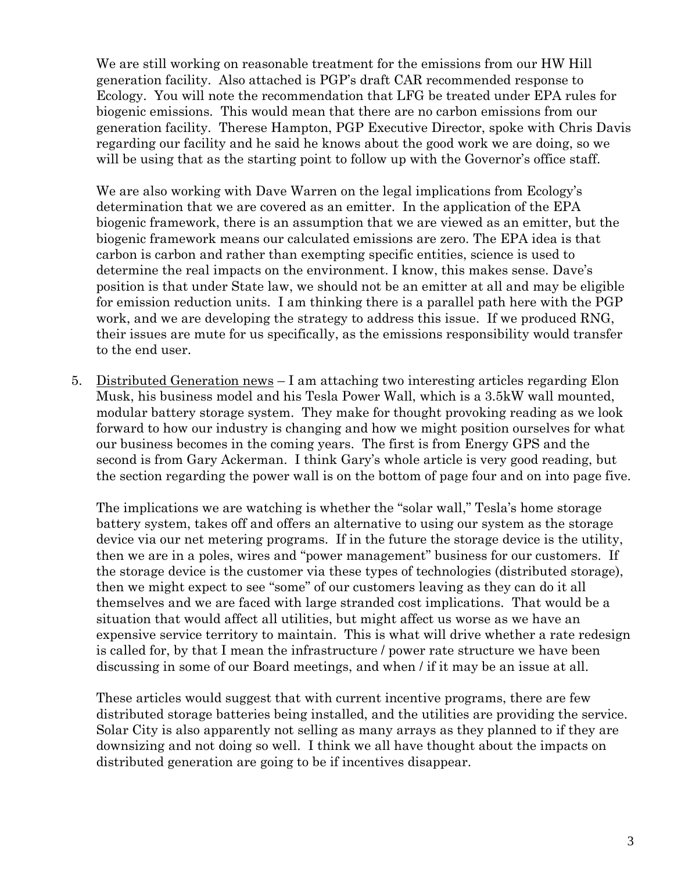We are still working on reasonable treatment for the emissions from our HW Hill generation facility. Also attached is PGP's draft CAR recommended response to Ecology. You will note the recommendation that LFG be treated under EPA rules for biogenic emissions. This would mean that there are no carbon emissions from our generation facility. Therese Hampton, PGP Executive Director, spoke with Chris Davis regarding our facility and he said he knows about the good work we are doing, so we will be using that as the starting point to follow up with the Governor's office staff.

We are also working with Dave Warren on the legal implications from Ecology's determination that we are covered as an emitter. In the application of the EPA biogenic framework, there is an assumption that we are viewed as an emitter, but the biogenic framework means our calculated emissions are zero. The EPA idea is that carbon is carbon and rather than exempting specific entities, science is used to determine the real impacts on the environment. I know, this makes sense. Dave's position is that under State law, we should not be an emitter at all and may be eligible for emission reduction units. I am thinking there is a parallel path here with the PGP work, and we are developing the strategy to address this issue. If we produced RNG, their issues are mute for us specifically, as the emissions responsibility would transfer to the end user.

5. Distributed Generation news – I am attaching two interesting articles regarding Elon Musk, his business model and his Tesla Power Wall, which is a 3.5kW wall mounted, modular battery storage system. They make for thought provoking reading as we look forward to how our industry is changing and how we might position ourselves for what our business becomes in the coming years. The first is from Energy GPS and the second is from Gary Ackerman. I think Gary's whole article is very good reading, but the section regarding the power wall is on the bottom of page four and on into page five.

The implications we are watching is whether the "solar wall," Tesla's home storage battery system, takes off and offers an alternative to using our system as the storage device via our net metering programs. If in the future the storage device is the utility, then we are in a poles, wires and "power management" business for our customers. If the storage device is the customer via these types of technologies (distributed storage), then we might expect to see "some" of our customers leaving as they can do it all themselves and we are faced with large stranded cost implications. That would be a situation that would affect all utilities, but might affect us worse as we have an expensive service territory to maintain. This is what will drive whether a rate redesign is called for, by that I mean the infrastructure / power rate structure we have been discussing in some of our Board meetings, and when / if it may be an issue at all.

These articles would suggest that with current incentive programs, there are few distributed storage batteries being installed, and the utilities are providing the service. Solar City is also apparently not selling as many arrays as they planned to if they are downsizing and not doing so well. I think we all have thought about the impacts on distributed generation are going to be if incentives disappear.